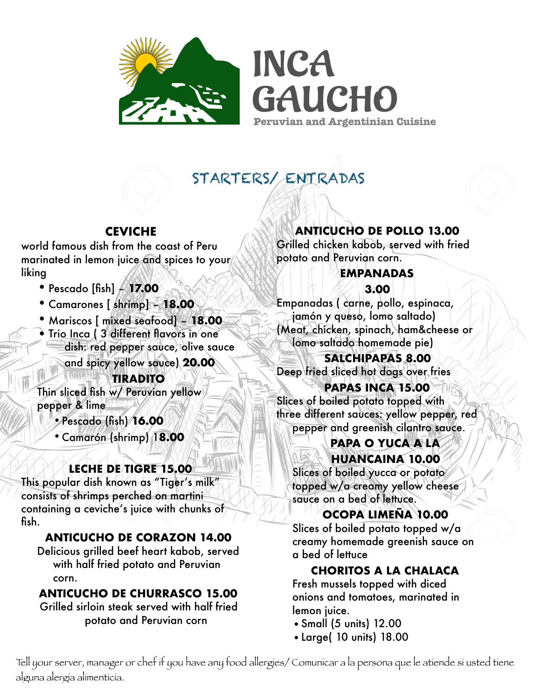

**INCA GAUCHO Peruvian and Argentinian Cuisine** 

# STARTERS/ ENTRADAS

## **CEVICHE**

world famous dish from the coast of Peru marinated in lemon juice and spices to your liking

- •Pescado [fish] **17.00**
- •Camarones [ shrimp] **18.00**
- Mariscos [ mixed seafood] **18.00**
- Trio Inca (3 different flavors in one dish: red pepper sauce, olive sauce

and spicy yellow sauce) **20.00**

**TIRADITO** 

Thin sliced fish w/ Peruvian yellow pepper & lime

•Pescado (fish) **16.00** 

•Camarón (shrimp) 1**8.00** 

# **LECHE DE TIGRE 15.00**

This popular dish known as "Tiger's milk" consists of shrimps perched on martini containing a ceviche's juice with chunks of fish.

# **ANTICUCHO DE CORAZON 14.00**

Delicious grilled beef heart kabob, served with half fried potato and Peruvian corn.

# **ANTICUCHO DE CHURRASCO 15.00**

Grilled sirloin steak served with half fried potato and Peruvian corn

**ANTICUCHO DE POLLO 13.00** 

Grilled chicken kabob, served with fried potato and Peruvian corn.

# **EMPANADAS**

**3.00** 

Empanadas ( carne, pollo, espinaca, jamón y queso, lomo saltado) (Meat, chicken, spinach, ham&cheese or lomo saltado homemade pie)

**SALCHIPAPAS 8.00**  Deep fried sliced hot dogs over fries

**PAPAS INCA 15.00**  Slices of boiled potato topped with three different sauces: yellow pepper, red pepper and greenish cilantro sauce.

### **PAPA O YUCA A LA HUANCAINA 10.00**

Slices of boiled yucca or potato topped w/a creamy yellow cheese sauce on a bed of lettuce.

**OCOPA LIMEÑA 10.00** 

Slices of boiled potato topped w/a creamy homemade greenish sauce on a bed of lettuce

**CHORITOS A LA CHALACA** 

Fresh mussels topped with diced onions and tomatoes, marinated in lemon juice.

- •Small (5 units) 12.00
- •Large( 10 units) 18.00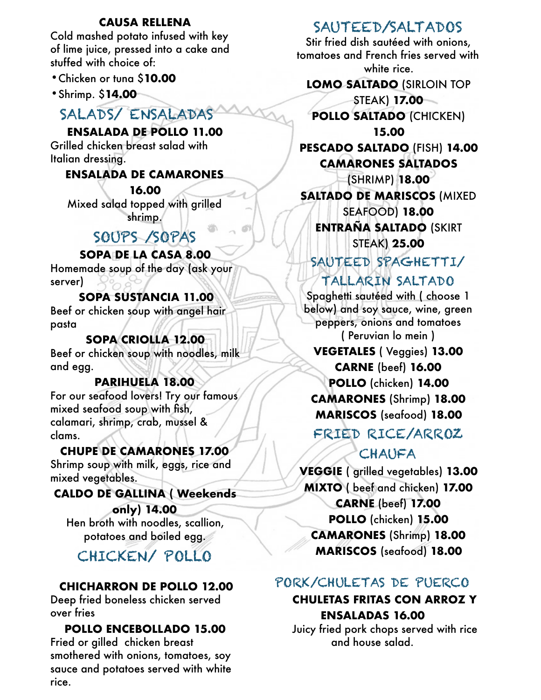#### **CAUSA RELLENA**

Cold mashed potato infused with key of lime juice, pressed into a cake and stuffed with choice of:

- •Chicken or tuna \$**10.00**
- •Shrimp. \$**14.00**

# SALADS/ ENSALADAS

#### **ENSALADA DE POLLO 11.00**

Grilled chicken breast salad with Italian dressing.

### **ENSALADA DE CAMARONES**

**16.00**  Mixed salad topped with grilled shrimp.

# SOUPS /SOPAS

### **SOPA DE LA CASA 8.00**

Homemade soup of the day (ask your server)

### **SOPA SUSTANCIA 11.00**

Beef or chicken soup with angel hair pasta

#### **SOPA CRIOLLA 12.00**  Beef or chicken soup with noodles, milk and egg.

### **PARIHUELA 18.00**

For our seafood lovers! Try our famous mixed seafood soup with fish, calamari, shrimp, crab, mussel & clams.

### **CHUPE DE CAMARONES 17.00**

Shrimp soup with milk, eggs, rice and mixed vegetables.

#### **CALDO DE GALLINA ( Weekends**

**only) 14.00**  Hen broth with noodles, scallion, potatoes and boiled egg.

# CHICKEN/ POLLO

## **CHICHARRON DE POLLO 12.00**

Deep fried boneless chicken served over fries

#### **POLLO ENCEBOLLADO 15.00**  Fried or gilled chicken breast smothered with onions, tomatoes, soy sauce and potatoes served with white

rice.

# SAUTEED/SALTADOS

Stir fried dish sautéed with onions, tomatoes and French fries served with white rice.

**LOMO SALTADO** (SIRLOIN TOP

STEAK) **17.00 POLLO SALTADO** (CHICKEN) **15.00** 

**PESCADO SALTADO** (FISH) **14.00 CAMARONES SALTADOS** 

(SHRIMP) **18.00 SALTADO DE MARISCOS** (MIXED SEAFOOD) **18.00 ENTRAÑA SALTADO** (SKIRT STEAK) **25.00** 

SAUTEED SPAGHETTI/

TALLARIN SALTADO

Spaghetti sautéed with ( choose 1 below) and soy sauce, wine, green peppers, onions and tomatoes ( Peruvian lo mein )

### **VEGETALES** ( Veggies) **13.00 CARNE** (beef) **16.00 POLLO** (chicken) **14.00 CAMARONES** (Shrimp) **18.00 MARISCOS** (seafood) **18.00**

# FRIED RICE/ARROZ

# CHAUFA

**VEGGIE** ( grilled vegetables) **13.00 MIXTO** ( beef and chicken) **17.00 CARNE** (beef) **17.00 POLLO** (chicken) **15.00 CAMARONES** (Shrimp) **18.00 MARISCOS** (seafood) **18.00** 

# PORK/CHULETAS DE PUERCO

### **CHULETAS FRITAS CON ARROZ Y ENSALADAS 16.00**

Juicy fried pork chops served with rice and house salad.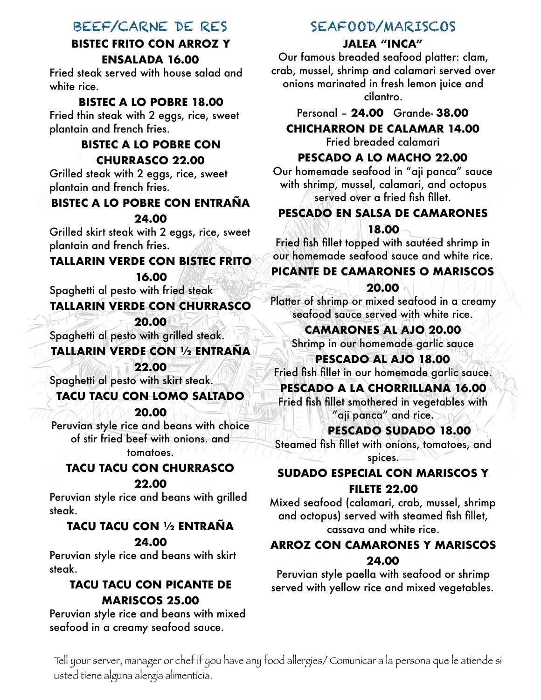## BEEF/CARNE DE RES

### **BISTEC FRITO CON ARROZ Y ENSALADA 16.00**

Fried steak served with house salad and white rice.

### **BISTEC A LO POBRE 18.00**

Fried thin steak with 2 eggs, rice, sweet plantain and french fries.

### **BISTEC A LO POBRE CON CHURRASCO 22.00**

Grilled steak with 2 eggs, rice, sweet plantain and french fries.

### **BISTEC A LO POBRE CON ENTRAÑA**

#### **24.00**

Grilled skirt steak with 2 eggs, rice, sweet plantain and french fries.

### **TALLARIN VERDE CON BISTEC FRITO**

**16.00** 

Spaghetti al pesto with fried steak

### **TALLARIN VERDE CON CHURRASCO**

**20.00** 

Spaghetti al pesto with grilled steak.

### **TALLARIN VERDE CON ½ ENTRAÑA**

**22.00** 

# Spaghetti al pesto with skirt steak.

**TACU TACU CON LOMO SALTADO** 

**20.00** 

Peruvian style rice and beans with choice of stir fried beef with onions. and tomatoes.

### **TACU TACU CON CHURRASCO**

#### **22.00**

Peruvian style rice and beans with grilled steak.

# **TACU TACU CON ½ ENTRAÑA**

#### **24.00**

Peruvian style rice and beans with skirt steak.

### **TACU TACU CON PICANTE DE MARISCOS 25.00**

Peruvian style rice and beans with mixed seafood in a creamy seafood sauce.

## SEAFOOD/MARISCOS

### **JALEA "INCA"**

Our famous breaded seafood platter: clam, crab, mussel, shrimp and calamari served over onions marinated in fresh lemon juice and cilantro.

Personal – **24.00** Grande- **38.00** 

**CHICHARRON DE CALAMAR 14.00**  Fried breaded calamari

### **PESCADO A LO MACHO 22.00**

Our homemade seafood in "aji panca" sauce with shrimp, mussel, calamari, and octopus served over a fried fish fillet.

### **PESCADO EN SALSA DE CAMARONES 18.00**

Fried fish fillet topped with sautéed shrimp in our homemade seafood sauce and white rice.

### **PICANTE DE CAMARONES O MARISCOS**

#### **20.00**

Platter of shrimp or mixed seafood in a creamy seafood sauce served with white rice.

**CAMARONES AL AJO 20.00** 

Shrimp in our homemade garlic sauce

**PESCADO AL AJO 18.00**  Fried fish fillet in our homemade garlic sauce.

### **PESCADO A LA CHORRILLANA 16.00**

Fried fish fillet smothered in vegetables with "aji panca" and rice.

#### **PESCADO SUDADO 18.00**

Steamed fish fillet with onions, tomatoes, and spices.

### **SUDADO ESPECIAL CON MARISCOS Y FILETE 22.00**

Mixed seafood (calamari, crab, mussel, shrimp and octopus) served with steamed fish fillet, cassava and white rice.

### **ARROZ CON CAMARONES Y MARISCOS 24.00**

Peruvian style paella with seafood or shrimp served with yellow rice and mixed vegetables.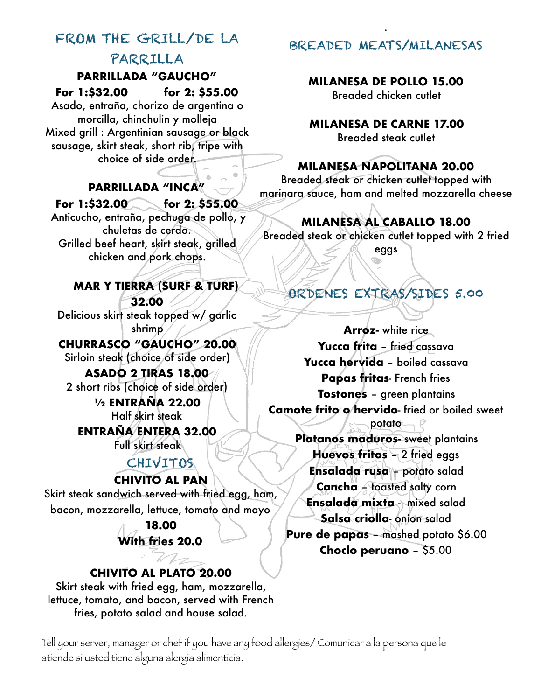# FROM THE GRILL/DE LA PARRILLA

### **PARRILLADA "GAUCHO"**

**For 1:\$32.00 for 2: \$55.00** 

Asado, entraña, chorizo de argentina o morcilla, chinchulin y molleja Mixed grill : Argentinian sausage or black sausage, skirt steak, short rib, tripe with choice of side order.

**PARRILLADA "INCA"** 

### **For 1:\$32.00 for 2: \$55.00**

 Anticucho, entraña, pechuga de pollo, y chuletas de cerdo. Grilled beef heart, skirt steak, grilled chicken and pork chops.

# **MAR Y TIERRA (SURF & TURF) 32.00**

Delicious skirt steak topped w/ garlic shrimp

**CHURRASCO "GAUCHO" 20.00**  Sirloin steak (choice of side order)

## **ASADO 2 TIRAS 18.00**  2 short ribs (choice of side order)

**½ ENTRAÑA 22.00**  Half skirt steak

**ENTRAÑA ENTERA 32.00**  Full skirt steak

# CHIVITOS

### **CHIVITO AL PAN**

Skirt steak sandwich served with fried egg, ham, bacon, mozzarella, lettuce, tomato and mayo

## **18.00 With fries 20.0**

## **CHIVITO AL PLATO 20.00**

 $\mathbb{Z}$ 

Skirt steak with fried egg, ham, mozzarella, lettuce, tomato, and bacon, served with French fries, potato salad and house salad.

BREADED MEATS/MILANESAS

.

### **MILANESA DE POLLO 15.00**

Breaded chicken cutlet

**MILANESA DE CARNE 17.00**  Breaded steak cutlet

### **MILANESA NAPOLITANA 20.00**

Breaded steak or chicken cutlet topped with marinara sauce, ham and melted mozzarella cheese

# **MILANESA AL CABALLO 18.00**

Breaded steak or chicken cutlet topped with 2 fried

eggs

# ORDENES EXTRAS/SIDES 5.00

**Arroz-** white rice **Yucca frita** – fried cassava **Yucca hervida** – boiled cassava **Papas fritas**- French fries **Tostones** – green plantains **Camote frito o hervido**- fried or boiled sweet potato

**Platanos maduros-** sweet plantains **Huevos fritos** – 2 fried eggs **Ensalada rusa** – potato salad **Cancha** – toasted salty corn **Ensalada mixta** - mixed salad **Salsa criolla**- onion salad **Pure de papas** – mashed potato \$6.00 **Choclo peruano** – \$5.00